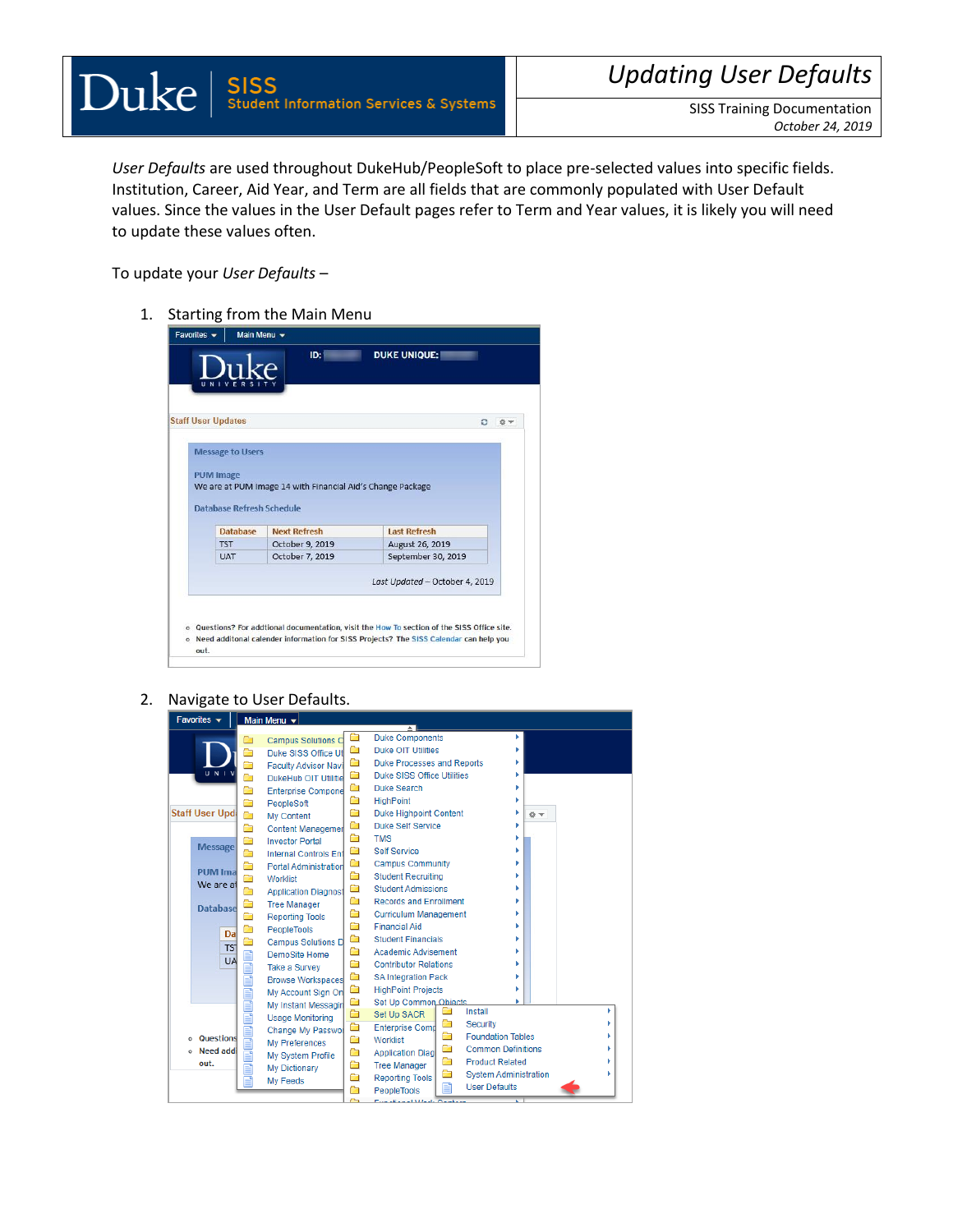*User Defaults* are used throughout DukeHub/PeopleSoft to place pre-selected values into specific fields. Institution, Career, Aid Year, and Term are all fields that are commonly populated with User Default values. Since the values in the User Default pages refer to Term and Year values, it is likely you will need to update these values often.

To update your *User Defaults* –

1. Starting from the Main Menu

|                  | <b>Staff User Updates</b>        |                                                            | ٥<br>森             |
|------------------|----------------------------------|------------------------------------------------------------|--------------------|
|                  |                                  |                                                            |                    |
|                  | <b>Message to Users</b>          |                                                            |                    |
|                  |                                  |                                                            |                    |
| <b>PUM Image</b> |                                  |                                                            |                    |
|                  |                                  | We are at PUM Image 14 with Financial Aid's Change Package |                    |
|                  |                                  |                                                            |                    |
|                  | <b>Database Refresh Schedule</b> |                                                            |                    |
|                  | Database                         | <b>Next Refresh</b>                                        | Last Refresh       |
|                  | <b>TST</b>                       | October 9, 2019                                            | August 26, 2019    |
|                  | <b>UAT</b>                       | October 7, 2019                                            | September 30, 2019 |
|                  |                                  |                                                            |                    |
|                  |                                  |                                                            |                    |

2. Navigate to User Defaults.

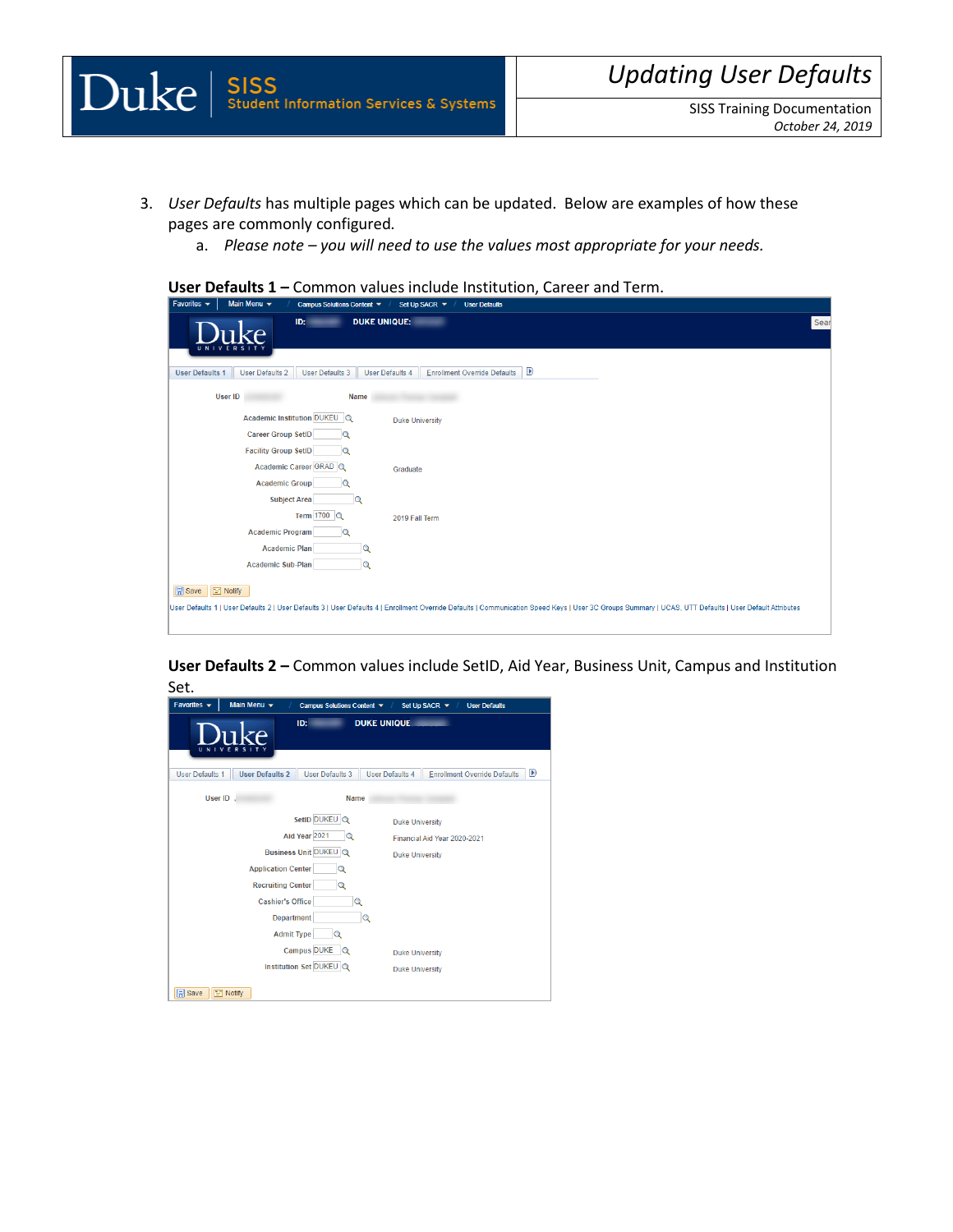- 3. *User Defaults* has multiple pages which can be updated. Below are examples of how these pages are commonly configured*.* 
	- a. *Please note – you will need to use the values most appropriate for your needs.*

## **User Defaults 1 –** Common values include Institution, Career and Term.

| Main Menu $\star$<br>Favorites $\blacktriangleright$<br>Campus Solutions Content ▼<br>Set Up SACR $\blacktriangledown$<br><b>User Defaults</b>                                                                                           |
|------------------------------------------------------------------------------------------------------------------------------------------------------------------------------------------------------------------------------------------|
| <b>DUKE UNIQUE:</b><br>Sear<br>ID:<br>ıke                                                                                                                                                                                                |
| $\mathbf{D}$<br><b>User Defaults 2</b><br><b>Enrollment Override Defaults</b><br><b>User Defaults 1</b><br><b>User Defaults 3</b><br><b>User Defaults 4</b>                                                                              |
| <b>User ID</b><br>Name                                                                                                                                                                                                                   |
| Academic Institution DUKEU Q<br><b>Duke University</b>                                                                                                                                                                                   |
| <b>Career Group SetID</b><br>$\alpha$                                                                                                                                                                                                    |
| <b>Facility Group SetID</b><br>Q                                                                                                                                                                                                         |
| Academic Career GRAD Q<br>Graduate                                                                                                                                                                                                       |
| <b>Academic Group</b><br>Q                                                                                                                                                                                                               |
| <b>Subject Area</b><br>Q                                                                                                                                                                                                                 |
| Term 1700 Q<br>2019 Fall Term                                                                                                                                                                                                            |
| <b>Academic Program</b><br>Q                                                                                                                                                                                                             |
| <b>Academic Plan</b><br>$\Omega$                                                                                                                                                                                                         |
| Academic Sub-Plan<br>$\Omega$                                                                                                                                                                                                            |
| <b>B</b> Save <b>E</b> Notify<br>User Defaults 1   User Defaults 2   User Defaults 3   User Defaults 4   Enrollment Override Defaults   Communication Speed Keys   User 3C Groups Summary   UCAS, UTT Defaults   User Default Attributes |

**User Defaults 2 –** Common values include SetID, Aid Year, Business Unit, Campus and Institution Set.

| ID:<br><b>DUKE UNIQUE</b><br>UNI<br>E<br>R<br>$\mathbf v$<br>s<br>D<br><b>User Defaults 2</b><br><b>User Defaults 3</b><br><b>User Defaults 1</b><br><b>User Defaults 4</b><br><b>Enrollment Override Defaults</b><br>User ID.<br><b>Name</b><br>SetID DUKEU Q<br><b>Duke University</b><br>Aid Year 2021<br>Q<br>Financial Aid Year 2020-2021<br>Business Unit DUKEU Q<br><b>Duke University</b><br><b>Application Center</b><br>Q<br><b>Recruiting Center</b><br>Q<br><b>Cashier's Office</b><br>Q<br><b>Department</b><br>Q<br><b>Admit Type</b><br>Q<br><b>Campus DUKE</b><br>$\overline{Q}$<br><b>Duke University</b><br>Institution Set DUKEU Q<br><b>Duke University</b> | Favorites $\rightarrow$ | Main Menu v | Campus Solutions Content ▼ |  | Set Up SACR $\blacktriangledown$<br><b>User Defaults</b> |  |  |
|---------------------------------------------------------------------------------------------------------------------------------------------------------------------------------------------------------------------------------------------------------------------------------------------------------------------------------------------------------------------------------------------------------------------------------------------------------------------------------------------------------------------------------------------------------------------------------------------------------------------------------------------------------------------------------|-------------------------|-------------|----------------------------|--|----------------------------------------------------------|--|--|
|                                                                                                                                                                                                                                                                                                                                                                                                                                                                                                                                                                                                                                                                                 |                         |             |                            |  |                                                          |  |  |
|                                                                                                                                                                                                                                                                                                                                                                                                                                                                                                                                                                                                                                                                                 |                         |             |                            |  |                                                          |  |  |
|                                                                                                                                                                                                                                                                                                                                                                                                                                                                                                                                                                                                                                                                                 |                         |             |                            |  |                                                          |  |  |
| <b>日</b> Save<br><b>TIP</b> Notify                                                                                                                                                                                                                                                                                                                                                                                                                                                                                                                                                                                                                                              |                         |             |                            |  |                                                          |  |  |